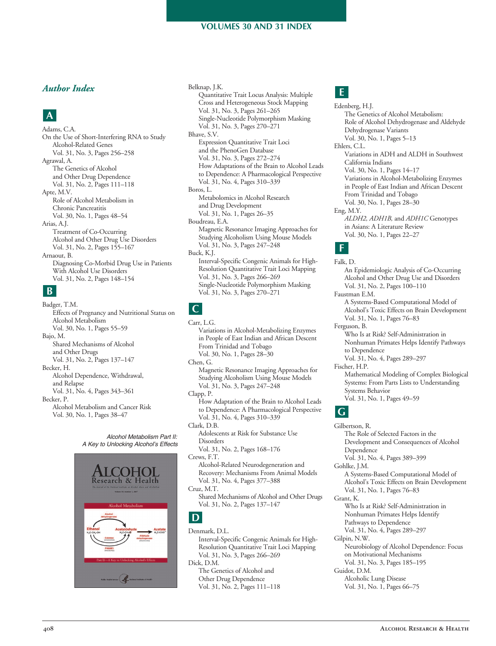### *Author Index*

## **A**

On the Use of Short-Interfering RNA to Study Vol. 31, No. 3, Pages 256–258 The Genetics of Alcohol and Other Drug Dependence Vol. 31, No. 2, Pages 111–118 Role of Alcohol Metabolism in Vol. 30, No. 1, Pages 48–54 Arias, A.J. Treatment of Co-Occurring Alcohol and Other Drug Use Disorders Vol. 31, No. 2, Pages 155–167 Diagnosing Co-Morbid Drug Use in Patients With Alcohol Use Disorders Vol. 31, No. 2, Pages 148–154 Adams, C.A. Alcohol-Related Genes Agrawal, A. Apte, M.V. Chronic Pancreatitis Arnaout, B.

### **B**

 Effects of Pregnancy and Nutritional Status on Vol. 30, No. 1, Pages 55–59 Shared Mechanisms of Alcohol and Other Drugs Vol. 31, No. 2, Pages 137–147 Becker, H. Alcohol Dependence, Withdrawal, Vol. 31, No. 4, Pages 343–361 Alcohol Metabolism and Cancer Risk Vol. 30, No. 1, Pages 38–47 Badger, T.M. Alcohol Metabolism Bajo, M. and Relapse Becker, P.

> *A Key to Unlocking Alcohol's Effects* esearch & Health

 *Alcohol Metabolism Part II:*

 Quantitative Trait Locus Analysis: Multiple Cross and Heterogeneous Stock Mapping Vol. 31, No. 3, Pages 261–265 Vol. 31, No. 3, Pages 270–271 Expression Quantitative Trait Loci and the PhenoGen Database Vol. 31, No. 3, Pages 272–274 How Adaptations of the Brain to Alcohol Leads to Dependence: A Pharmacological Perspective Vol. 31, No. 4, Pages 310–339 Boros, L. Metabolomics in Alcohol Research and Drug Development Vol. 31, No. 1, Pages 26–35 Magnetic Resonance Imaging Approaches for Studying Alcoholism Using Mouse Models Vol. 31, No. 3, Pages 247–248 Interval-Specific Congenic Animals for High- Resolution Quantitative Trait Loci Mapping Vol. 31, No. 3, Pages 266–269 Vol. 31, No. 3, Pages 270–271 Belknap, J.K. Single-Nucleotide Polymorphism Masking Bhave, S.V. Boudreau, E.A. Buck, K.J. Single-Nucleotide Polymorphism Masking

# **C**

Variations in Alcohol-Metabolizing Enzymes in People of East Indian and African Descent From Trinidad and Tobago Vol. 30, No. 1, Pages 28–30 Magnetic Resonance Imaging Approaches for Studying Alcoholism Using Mouse Models Vol. 31, No. 3, Pages 247–248 Clapp, P. How Adaptation of the Brain to Alcohol Leads to Dependence: A Pharmacological Perspective Vol. 31, No. 4, Pages 310–339 Adolescents at Risk for Substance Use Vol. 31, No. 2, Pages 168–176 Crews, F.T. Recovery: Mechanisms From Animal Models Vol. 31, No. 4, Pages 377–388 Shared Mechanisms of Alcohol and Other Drugs Vol. 31, No. 2, Pages 137–147 Carr, L.G. Chen, G. Clark, D.B. Disorders Alcohol-Related Neurodegeneration and Cruz, M.T.

## **D**

Interval-Specific Congenic Animals for High- Resolution Quantitative Trait Loci Mapping Vol. 31, No. 3, Pages 266–269 The Genetics of Alcohol and Other Drug Dependence Vol. 31, No. 2, Pages 111–118 Denmark, D.L. Dick, D.M.

# **E**

 The Genetics of Alcohol Metabolism: Role of Alcohol Dehydrogenase and Aldehyde Vol. 30, No. 1, Pages 5–13 Variations in ADH and ALDH in Southwest Vol. 30, No. 1, Pages 14–17 Variations in Alcohol-Metabolizing Enzymes in People of East Indian and African Descent From Trinidad and Tobago Vol. 30, No. 1, Pages 28–30 in Asians: A Literature Review Vol. 30, No. 1, Pages 22–27 An Epidemiologic Analysis of Co-Occurring Alcohol and Other Drug Use and Disorders Vol. 31, No. 2, Pages 100–110 Edenberg, H.J. Dehydrogenase Variants Ehlers, C.L. California Indians Eng, M.Y. *ALDH2, ADH1B,* and *ADH1C* Genotypes **F** Falk, D. Faustman E.M.

A Systems-Based Computational Model of Alcohol's Toxic Effects on Brain Development Vol. 31, No. 1, Pages 76–83 Ferguson, B.

- Who Is at Risk? Self-Administration in Nonhuman Primates Helps Identify Pathways to Dependence
- Vol. 31, No. 4, Pages 289–297

Fischer, H.P.

 Mathematical Modeling of Complex Biological Systems: From Parts Lists to Understanding Vol. 31, No. 1, Pages 49–59 Systems Behavior

### **G**

 Gilbertson, R. The Role of Selected Factors in the Development and Consequences of Alcohol Vol. 31, No. 4, Pages 389–399 A Systems-Based Computational Model of Alcohol's Toxic Effects on Brain Development Vol. 31, No. 1, Pages 76–83 Grant, K. Who Is at Risk? Self-Administration in Nonhuman Primates Helps Identify Pathways to Dependence Vol. 31, No. 4, Pages 289–297 Neurobiology of Alcohol Dependence: Focus on Motivational Mechanisms Vol. 31, No. 3, Pages 185–195 Alcoholic Lung Disease Vol. 31, No. 1, Pages 66–75 Dependence Gohlke, J.M. Gilpin, N.W. Guidot, D.M.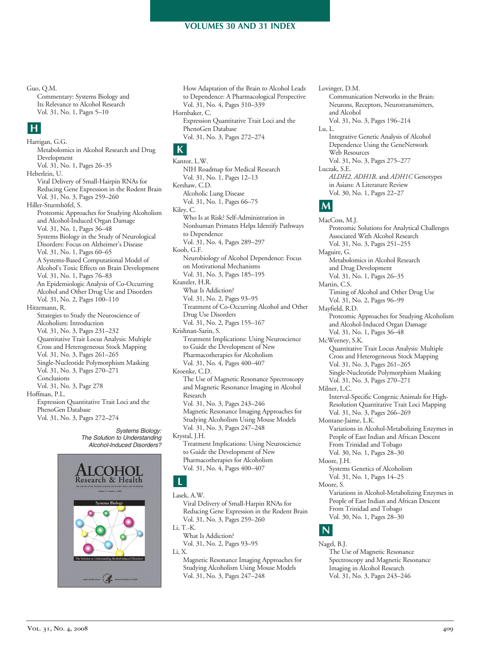#### Guo, Q.M.

 Commentary: Systems Biology and Its Relevance to Alcohol Research Vol. 31, No. 1, Pages 5–10

### **H**

 Metabolomics in Alcohol Research and Drug Vol. 31, No. 1, Pages 26–35 Viral Delivery of Small-Hairpin RNAs for Reducing Gene Expression in the Rodent Brain Vol. 31, No. 3, Pages 259–260 Proteomic Approaches for Studying Alcoholism and Alcohol-Induced Organ Damage Vol. 31, No. 1, Pages 36–48 Systems Biology in the Study of Neurological Disorders: Focus on Alzheimer's Disease Vol. 31, No. 1, Pages 60–65 A Systems-Based Computational Model of Alcohol's Toxic Effects on Brain Development Vol. 31, No. 1, Pages 76–83 An Epidemiologic Analysis of Co-Occurring Alcohol and Other Drug Use and Disorders Vol. 31, No. 2, Pages 100–110 Hitzemann, R. Strategies to Study the Neuroscience of Vol. 31, No. 3, Pages 231–232 Quantitative Trait Locus Analysis: Multiple Cross and Heterogeneous Stock Mapping Vol. 31, No. 3, Pages 261–265 Vol. 31, No. 3, Pages 270–271 Vol. 31, No. 3, Page 278 Expression Quantitative Trait Loci and the Vol. 31, No. 3, Pages 272–274 Harrigan, G.G. Development Heberlein, U. Hiller-Sturmhöfel, S. Alcoholism: Introduction Single-Nucleotide Polymorphism Masking Conclusions Hoffman, P.L. PhenoGen Database

> *Systems Biology: The Solution to Understanding AlcoholInduced Disorders?*



 How Adaptation of the Brain to Alcohol Leads to Dependence: A Pharmacological Perspective Vol. 31, No. 4, Pages 310–339 Expression Quantitative Trait Loci and the Vol. 31, No. 3, Pages 272–274 Hornbaker, C. PhenoGen Database

### **K**

 NIH Roadmap for Medical Research Vol. 31, No. 1, Pages 12–13 Alcoholic Lung Disease Vol. 31, No. 1, Pages 66–75 Kiley, C. Who Is at Risk? Self-Administration in Nonhuman Primates Helps Identify Pathways Vol. 31, No. 4, Pages 289–297 Neurobiology of Alcohol Dependence: Focus on Motivational Mechanisms Vol. 31, No. 3, Pages 185–195 What Is Addiction? Vol. 31, No. 2, Pages 93–95 Treatment of Co-Occurring Alcohol and Other Drug Use Disorders Vol. 31, No. 2, Pages 155–167 Krishnan-Sarin, S. Treatment Implications: Using Neuroscience to Guide the Development of New Pharmacotherapies for Alcoholism Vol. 31, No. 4, Pages 400–407 The Use of Magnetic Resonance Spectroscopy and Magnetic Resonance Imaging in Alcohol Vol. 31, No. 3, Pages 243–246 Magnetic Resonance Imaging Approaches for Studying Alcoholism Using Mouse Models Vol. 31, No. 3, Pages 247–248 Krystal, J.H. Treatment Implications: Using Neuroscience to Guide the Development of New Pharmacotherapies for Alcoholism Vol. 31, No. 4, Pages 400–407 Kantor, L.W. Kershaw, C.D. to Dependence Koob, G.F. Kranzler, H.R. Kroenke, C.D. Research

### **L**

Lasek, A.W.

Viral Delivery of Small-Harpin RNAs for Reducing Gene Expression in the Rodent Brain Vol. 31, No. 3, Pages 259–260 Li, T.K.

 What Is Addiction? Vol. 31, No. 2, Pages 93–95 Li, X.

 Magnetic Resonance Imaging Approaches for Studying Alcoholism Using Mouse Models Vol. 31, No. 3, Pages 247–248

 Communication Networks in the Brain: Neurons, Receptors, Neurotransmitters, Vol. 31, No. 3, Pages 196–214 Integrative Genetic Analysis of Alcohol Dependence Using the GeneNetwork Vol. 31, No. 3, Pages 275–277 in Asians: A Literature Review Vol. 30, No. 1, Pages 22–27 Proteomic Solutions for Analytical Challenges Associated With Alcohol Research and Alcohol Lu, L. Web Resources Luczak, S.E. *ALDH2, ADH1B,* and *ADH1C* Genotypes **M** MacCoss, M.J.

Lovinger, D.M.

 Vol. 31, No. 3, Pages 251–255 Metabolomics in Alcohol Research and Drug Development Vol. 31, No. 1, Pages 26–35 Timing of Alcohol and Other Drug Use Vol. 31, No. 2, Pages 96–99 Proteomic Approaches for Studying Alcoholism and Alcohol-Induced Organ Damage Vol. 31, No. 1, Pages 36–48 Quantitative Trait Locus Analysis: Multiple Cross and Heterogeneous Stock Mapping Vol. 31, No. 3, Pages 261–265 Vol. 31, No. 3, Pages 270–271 Interval-Specific Congenic Animals for High- Resolution Quantitative Trait Loci Mapping Vol. 31, No. 3, Pages 266–269 Maguire, G. Martin, C.S. Mayfield, R.D. McWeeney, S.K. Single-Nucleotide Polymorphism Masking Milner, L.C. Montane-Jaime, L.K.

Variations in Alcohol-Metabolizing Enzymes in People of East Indian and African Descent From Trinidad and Tobago Vol. 30, No. 1, Pages 28–30 Systems Genetics of Alcoholism Vol. 31, No. 1, Pages 14–25 Variations in Alcohol-Metabolizing Enzymes in People of East Indian and African Descent From Trinidad and Tobago Moore, J.H. Moore, S.

### Vol. 30, No. 1, Pages 28–30 **N**

Nagel, B.J.

 The Use of Magnetic Resonance Spectroscopy and Magnetic Resonance Imaging in Alcohol Research Vol. 31, No. 3, Pages 243–246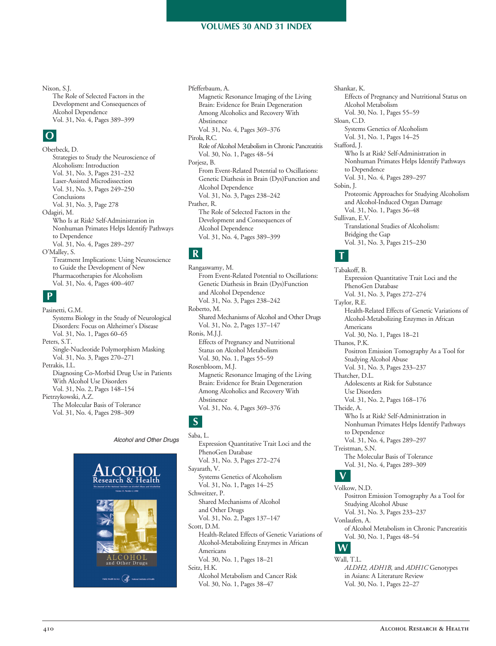Nixon, S.J. The Role of Selected Factors in the Development and Consequences of Vol. 31, No. 4, Pages 389–399 Alcohol Dependence

# **O**

 Strategies to Study the Neuroscience of Vol. 31, No. 3, Pages 231–232 Vol. 31, No. 3, Pages 249–250 Vol. 31, No. 3, Page 278 Odagiri, M. Who Is at Risk? Self-Administration in Nonhuman Primates Helps Identify Pathways Vol. 31, No. 4, Pages 289–297 O'Malley, S. Treatment Implications: Using Neuroscience to Guide the Development of New Pharmacotherapies for Alcoholism Vol. 31, No. 4, Pages 400–407 Oberbeck, D. Alcoholism: Introduction Laser-Assisted Microdissection Conclusions to Dependence

### **P**

 Systems Biology in the Study of Neurological Disorders: Focus on Alzheimer's Disease Vol. 31, No. 1, Pages 60–65 Vol. 31, No. 3, Pages 270–271 Diagnosing Co-Morbid Drug Use in Patients With Alcohol Use Disorders Vol. 31, No. 2, Pages 148–154 Pietrzykowski, A.Z. The Molecular Basis of Tolerance Vol. 31, No. 4, Pages 298–309 Pasinetti, G.M. Peters, S.T. Single-Nucleotide Polymorphism Masking Petrakis, I.L.



 *Alcohol and Other Drugs*

 Pfefferbaum, A. Magnetic Resonance Imaging of the Living Brain: Evidence for Brain Degeneration Among Alcoholics and Recovery With Vol. 31, No. 4, Pages 369–376 Role of Alcohol Metabolism inChronic Pancreatitis Vol. 30, No. 1, Pages 48–54 From Event-Related Potential to Oscillations: Genetic Diathesis in Brain (Dys)Function and Vol. 31, No. 3, Pages 238–242 Prather, R. The Role of Selected Factors in the Development and Consequences of Vol. 31, No. 4, Pages 389–399 Abstinence Pirola, R.C. Porjesz, B. Alcohol Dependence Alcohol Dependence

### **R**

From Event-Related Potential to Oscillations: Genetic Diathesis in Brain (Dys)Function and Alcohol Dependence Vol. 31, No. 3, Pages 238–242 Shared Mechanisms of Alcohol and Other Drugs Vol. 31, No. 2, Pages 137–147 Effects of Pregnancy and Nutritional Status on Alcohol Metabolism Vol. 30, No. 1, Pages 55–59 Rosenbloom, M.J. Magnetic Resonance Imaging of the Living Brain: Evidence for Brain Degeneration Among Alcoholics and Recovery With Vol. 31, No. 4, Pages 369–376 Rangaswamy, M. Roberto, M. Ronis, M.J.J. Abstinence

# **S**

 Expression Quantitative Trait Loci and the Vol. 31, No. 3, Pages 272–274 Systems Genetics of Alcoholism Vol. 31, No. 1, Pages 14–25 Shared Mechanisms of Alcohol and Other Drugs Vol. 31, No. 2, Pages 137–147 Health-Related Effects of Genetic Variations of Alcohol-Metabolizing Enzymes in African Vol. 30, No. 1, Pages 18–21 Alcohol Metabolism and Cancer Risk Vol. 30, No. 1, Pages 38–47 Saba, L. PhenoGen Database Sayarath, V. Schweitzer, P. Scott, D.M. Americans Seitz, H.K.

 Effects of Pregnancy and Nutritional Status on Vol. 30, No. 1, Pages 55–59 Systems Genetics of Alcoholism Vol. 31, No. 1, Pages 14–25 Stafford, J. Who Is at Risk? Self-Administration in Nonhuman Primates Helps Identify Pathways Vol. 31, No. 4, Pages 289–297 Proteomic Approaches for Studying Alcoholism and Alcohol-Induced Organ Damage Vol. 31, No. 1, Pages 36–48 Translational Studies of Alcoholism: Bridging the Gap Vol. 31, No. 3, Pages 215–230 Shankar, K. Alcohol Metabolism Sloan, C.D. to Dependence Sobin, J. Sullivan, E.V.

## **T**

 Expression Quantitative Trait Loci and the Vol. 31, No. 3, Pages 272–274 Health-Related Effects of Genetic Variations of Alcohol-Metabolizing Enzymes in African Vol. 30, No. 1, Pages 18–21 Positron Emission Tomography As a Tool for Studying Alcohol Abuse Vol. 31, No. 3, Pages 233–237 Adolescents at Risk for Substance Vol. 31, No. 2, Pages 168–176 Theide, A. Who Is at Risk? Self-Administration in Nonhuman Primates Helps Identify Pathways Vol. 31, No. 4, Pages 289–297 Treistman, S.N. The Molecular Basis of Tolerance Vol. 31, No. 4, Pages 289–309 Tabakoff, B. PhenoGen Database Taylor, R.E. Americans Thanos, P.K. Thatcher, D.L. Use Disorders to Dependence

## **V**

 Positron Emission Tomography As a Tool for Studying Alcohol Abuse Vol. 31, No. 3, Pages 233–237 of Alcohol Metabolism in Chronic Pancreatitis Vol. 30, No. 1, Pages 48–54 Volkow, N.D. Vonlaufen, A. **W**

# Wall, T.L.

 in Asians: A Literature Review Vol. 30, No. 1, Pages 22–27 *ALDH2, ADH1B,* and *ADH1C* Genotypes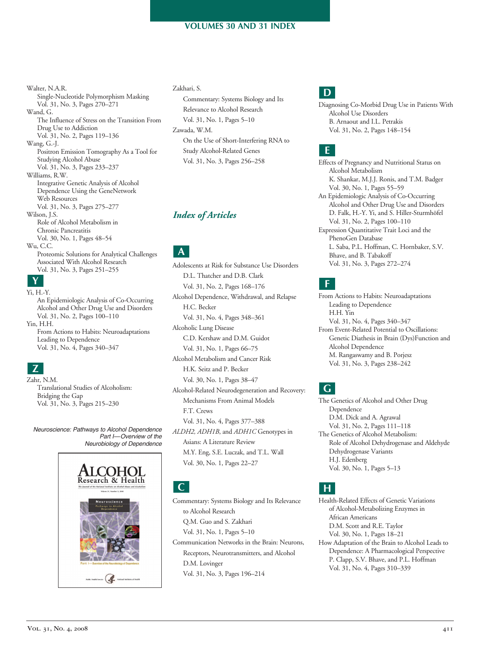Vol. 31, No. 3, Pages 270–271 The Influence of Stress on the Transition From Drug Use to Addiction Vol. 31, No. 2, Pages 119–136 Positron Emission Tomography As a Tool for Studying Alcohol Abuse Vol. 31, No. 3, Pages 233–237 Integrative Genetic Analysis of Alcohol Dependence Using the GeneNetwork Vol. 31, No. 3, Pages 275–277 Role of Alcohol Metabolism in Vol. 30, No. 1, Pages 48–54 Proteomic Solutions for Analytical Challenges Associated With Alcohol Research Vol. 31, No. 3, Pages 251–255 Walter, N.A.R. Single-Nucleotide Polymorphism Masking Wand, G. Wang, G.-J. Williams, R.W. Web Resources Wilson, J.S. Chronic Pancreatitis Wu, C.C. **Y** Yi, H.-Y.

An Epidemiologic Analysis of Co-Occurring Alcohol and Other Drug Use and Disorders Vol. 31, No. 2, Pages 100–110 Yin, H.H. From Actions to Habits: Neuroadaptations Leading to Dependence Vol. 31, No. 4, Pages 340–347

# **Z**

 Translational Studies of Alcoholism: Bridging the Gap Vol. 31, No. 3, Pages 215–230 Zahr, N.M.

 *Neuroscience: Pathways to Alcohol Dependence Part I—Overview of the Neurobiology of Dependence*



#### Zakhari, S.

 Commentary: Systems Biology and Its Relevance to Alcohol Research Vol. 31, No. 1, Pages 5–10 On the Use of Short-Interfering RNA to Vol. 31, No. 3, Pages 256–258 Zawada, W.M. Study Alcohol-Related Genes

### *Index of Articles*

 Adolescents at Risk for Substance Use Disorders D.L. Thatcher and D.B. Clark Vol. 31, No. 2, Pages 168–176 Alcohol Dependence, Withdrawal, and Relapse Vol. 31, No. 4, Pages 348–361 Alcoholic Lung Disease C.D. Kershaw and D.M. Guidot Vol. 31, No. 1, Pages 66–75 Alcohol Metabolism and Cancer Risk H.K. Seitz and P. Becker Vol. 30, No. 1, Pages 38–47 Alcohol-Related Neurodegeneration and Recovery: Mechanisms From Animal Models Vol. 31, No. 4, Pages 377–388 *ALDH2, ADH1B*, and *ADH1C* Genotypes in Asians: A Literature Review M.Y. Eng, S.E. Luczak, and T.L. Wall Vol. 30, No. 1, Pages 22–27 **A** H.C. Becker F.T. Crews

**C**

 Commentary: Systems Biology and Its Relevance to Alcohol Research Q.M. Guo and S. Zakhari Vol. 31, No. 1, Pages 5–10 Communication Networks in the Brain: Neurons, Receptors, Neurotransmitters, and Alcohol

 Vol. 31, No. 3, Pages 196–214 D.M. Lovinger

# **D**

Diagnosing Co-Morbid Drug Use in Patients With Alcohol Use Disorders B. Arnaout and I.L. Petrakis Vol. 31, No. 2, Pages 148–154

# **E**

 Effects of Pregnancy and Nutritional Status on K. Shankar, M.J.J. Ronis, and T.M. Badger Vol. 30, No. 1, Pages 55–59 An Epidemiologic Analysis of Co-Occurring Alcohol and Other Drug Use and Disorders D. Falk, H.-Y. Yi, and S. Hiller-Sturmhöfel Vol. 31, No. 2, Pages 100–110 Expression Quantitative Trait Loci and the L. Saba, P.L. Hoffman, C. Hornbaker, S.V. Bhave, and B. Tabakoff Vol. 31, No. 3, Pages 272–274 Alcohol Metabolism PhenoGen Database

## **F**

 From Actions to Habits: Neuroadaptations Leading to Dependence Vol. 31, No. 4, Pages 340–347 From Event-Related Potential to Oscillations: Genetic Diathesis in Brain (Dys)Function and M. Rangaswamy and B. Porjesz **H** Vol. 31, No. 3, Pages 238–242 H.H. Yin Alcohol Dependence

# **G**

 The Genetics of Alcohol and Other Drug D.M. Dick and A. Agrawal Vol. 31, No. 2, Pages 111–118 The Genetics of Alcohol Metabolism: Role of Alcohol Dehydrogenase and Aldehyde Vol. 30, No. 1, Pages 5–13 Dependence Dehydrogenase Variants H.J. Edenberg

### **H**

Health-Related Effects of Genetic Variations of Alcohol-Metabolizing Enzymes in D.M. Scott and R.E. Taylor Vol. 30, No. 1, Pages 18–21 How Adaptation of the Brain to Alcohol Leads to Dependence: A Pharmacological Perspective P. Clapp, S.V. Bhave, and P.L. Hoffman Vol. 31, No. 4, Pages 310–339 African Americans